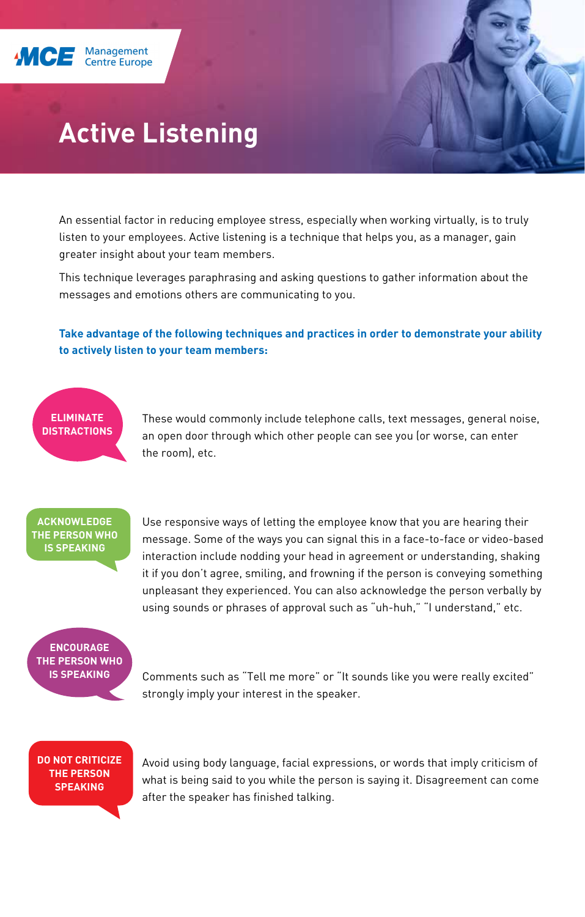

# **Active Listening**

An essential factor in reducing employee stress, especially when working virtually, is to truly listen to your employees. Active listening is a technique that helps you, as a manager, gain greater insight about your team members.

This technique leverages paraphrasing and asking questions to gather information about the messages and emotions others are communicating to you.

**Take advantage of the following techniques and practices in order to demonstrate your ability to actively listen to your team members:**

#### **ELIMINATE DISTRACTIONS**

These would commonly include telephone calls, text messages, general noise, an open door through which other people can see you (or worse, can enter the room), etc.

### **ACKNOWLEDGE THE PERSON WHO IS SPEAKING**

Use responsive ways of letting the employee know that you are hearing their message. Some of the ways you can signal this in a face-to-face or video-based interaction include nodding your head in agreement or understanding, shaking it if you don't agree, smiling, and frowning if the person is conveying something unpleasant they experienced. You can also acknowledge the person verbally by using sounds or phrases of approval such as "uh-huh," "I understand," etc.

## **ENCOURAGE THE PERSON WHO IS SPEAKING**

Comments such as "Tell me more" or "It sounds like you were really excited" strongly imply your interest in the speaker.

**DO NOT CRITICIZE THE PERSON SPEAKING**

Avoid using body language, facial expressions, or words that imply criticism of what is being said to you while the person is saying it. Disagreement can come after the speaker has finished talking.